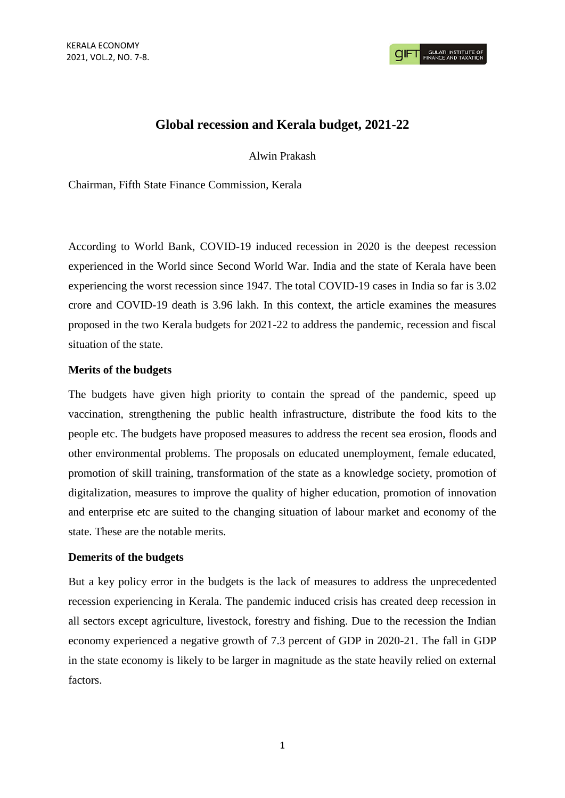# **Global recession and Kerala budget, 2021-22**

Alwin Prakash

Chairman, Fifth State Finance Commission, Kerala

According to World Bank, COVID-19 induced recession in 2020 is the deepest recession experienced in the World since Second World War. India and the state of Kerala have been experiencing the worst recession since 1947. The total COVID-19 cases in India so far is 3.02 crore and COVID-19 death is 3.96 lakh. In this context, the article examines the measures proposed in the two Kerala budgets for 2021-22 to address the pandemic, recession and fiscal situation of the state.

## **Merits of the budgets**

The budgets have given high priority to contain the spread of the pandemic, speed up vaccination, strengthening the public health infrastructure, distribute the food kits to the people etc. The budgets have proposed measures to address the recent sea erosion, floods and other environmental problems. The proposals on educated unemployment, female educated, promotion of skill training, transformation of the state as a knowledge society, promotion of digitalization, measures to improve the quality of higher education, promotion of innovation and enterprise etc are suited to the changing situation of labour market and economy of the state. These are the notable merits.

## **Demerits of the budgets**

But a key policy error in the budgets is the lack of measures to address the unprecedented recession experiencing in Kerala. The pandemic induced crisis has created deep recession in all sectors except agriculture, livestock, forestry and fishing. Due to the recession the Indian economy experienced a negative growth of 7.3 percent of GDP in 2020-21. The fall in GDP in the state economy is likely to be larger in magnitude as the state heavily relied on external factors.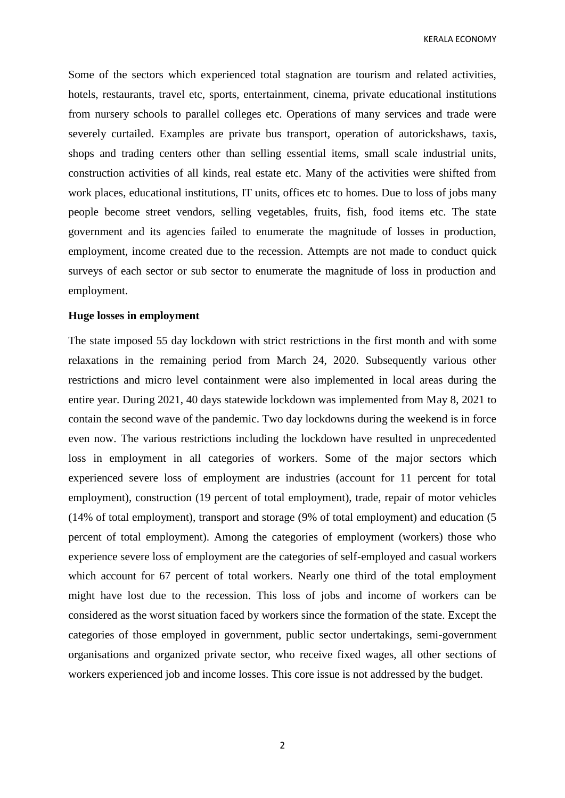KERALA ECONOMY

Some of the sectors which experienced total stagnation are tourism and related activities, hotels, restaurants, travel etc, sports, entertainment, cinema, private educational institutions from nursery schools to parallel colleges etc. Operations of many services and trade were severely curtailed. Examples are private bus transport, operation of autorickshaws, taxis, shops and trading centers other than selling essential items, small scale industrial units, construction activities of all kinds, real estate etc. Many of the activities were shifted from work places, educational institutions, IT units, offices etc to homes. Due to loss of jobs many people become street vendors, selling vegetables, fruits, fish, food items etc. The state government and its agencies failed to enumerate the magnitude of losses in production, employment, income created due to the recession. Attempts are not made to conduct quick surveys of each sector or sub sector to enumerate the magnitude of loss in production and employment.

#### **Huge losses in employment**

The state imposed 55 day lockdown with strict restrictions in the first month and with some relaxations in the remaining period from March 24, 2020. Subsequently various other restrictions and micro level containment were also implemented in local areas during the entire year. During 2021, 40 days statewide lockdown was implemented from May 8, 2021 to contain the second wave of the pandemic. Two day lockdowns during the weekend is in force even now. The various restrictions including the lockdown have resulted in unprecedented loss in employment in all categories of workers. Some of the major sectors which experienced severe loss of employment are industries (account for 11 percent for total employment), construction (19 percent of total employment), trade, repair of motor vehicles (14% of total employment), transport and storage (9% of total employment) and education (5 percent of total employment). Among the categories of employment (workers) those who experience severe loss of employment are the categories of self-employed and casual workers which account for 67 percent of total workers. Nearly one third of the total employment might have lost due to the recession. This loss of jobs and income of workers can be considered as the worst situation faced by workers since the formation of the state. Except the categories of those employed in government, public sector undertakings, semi-government organisations and organized private sector, who receive fixed wages, all other sections of workers experienced job and income losses. This core issue is not addressed by the budget.

2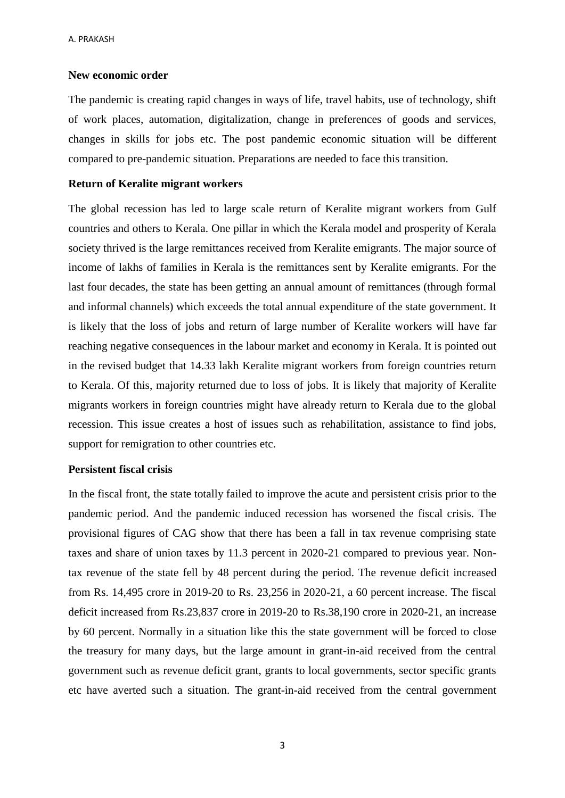### **New economic order**

The pandemic is creating rapid changes in ways of life, travel habits, use of technology, shift of work places, automation, digitalization, change in preferences of goods and services, changes in skills for jobs etc. The post pandemic economic situation will be different compared to pre-pandemic situation. Preparations are needed to face this transition.

## **Return of Keralite migrant workers**

The global recession has led to large scale return of Keralite migrant workers from Gulf countries and others to Kerala. One pillar in which the Kerala model and prosperity of Kerala society thrived is the large remittances received from Keralite emigrants. The major source of income of lakhs of families in Kerala is the remittances sent by Keralite emigrants. For the last four decades, the state has been getting an annual amount of remittances (through formal and informal channels) which exceeds the total annual expenditure of the state government. It is likely that the loss of jobs and return of large number of Keralite workers will have far reaching negative consequences in the labour market and economy in Kerala. It is pointed out in the revised budget that 14.33 lakh Keralite migrant workers from foreign countries return to Kerala. Of this, majority returned due to loss of jobs. It is likely that majority of Keralite migrants workers in foreign countries might have already return to Kerala due to the global recession. This issue creates a host of issues such as rehabilitation, assistance to find jobs, support for remigration to other countries etc.

#### **Persistent fiscal crisis**

In the fiscal front, the state totally failed to improve the acute and persistent crisis prior to the pandemic period. And the pandemic induced recession has worsened the fiscal crisis. The provisional figures of CAG show that there has been a fall in tax revenue comprising state taxes and share of union taxes by 11.3 percent in 2020-21 compared to previous year. Nontax revenue of the state fell by 48 percent during the period. The revenue deficit increased from Rs. 14,495 crore in 2019-20 to Rs. 23,256 in 2020-21, a 60 percent increase. The fiscal deficit increased from Rs.23,837 crore in 2019-20 to Rs.38,190 crore in 2020-21, an increase by 60 percent. Normally in a situation like this the state government will be forced to close the treasury for many days, but the large amount in grant-in-aid received from the central government such as revenue deficit grant, grants to local governments, sector specific grants etc have averted such a situation. The grant-in-aid received from the central government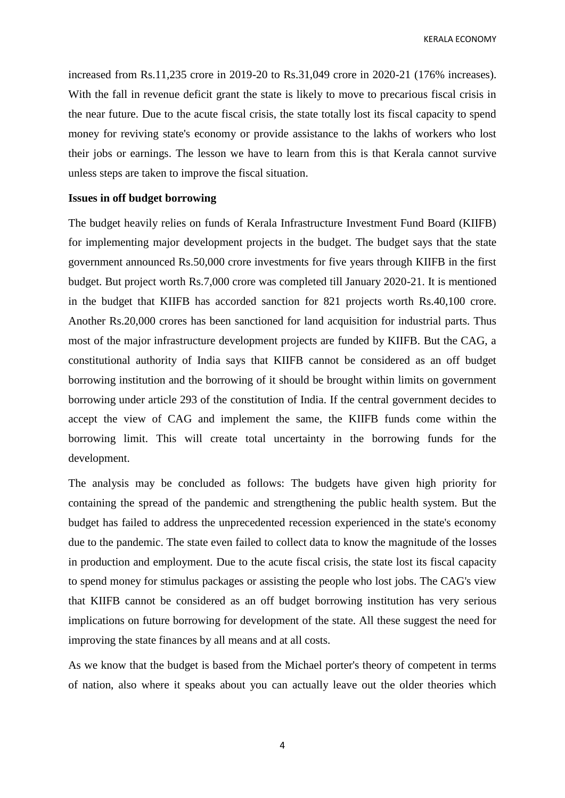KERALA ECONOMY

increased from Rs.11,235 crore in 2019-20 to Rs.31,049 crore in 2020-21 (176% increases). With the fall in revenue deficit grant the state is likely to move to precarious fiscal crisis in the near future. Due to the acute fiscal crisis, the state totally lost its fiscal capacity to spend money for reviving state's economy or provide assistance to the lakhs of workers who lost their jobs or earnings. The lesson we have to learn from this is that Kerala cannot survive unless steps are taken to improve the fiscal situation.

#### **Issues in off budget borrowing**

The budget heavily relies on funds of Kerala Infrastructure Investment Fund Board (KIIFB) for implementing major development projects in the budget. The budget says that the state government announced Rs.50,000 crore investments for five years through KIIFB in the first budget. But project worth Rs.7,000 crore was completed till January 2020-21. It is mentioned in the budget that KIIFB has accorded sanction for 821 projects worth Rs.40,100 crore. Another Rs.20,000 crores has been sanctioned for land acquisition for industrial parts. Thus most of the major infrastructure development projects are funded by KIIFB. But the CAG, a constitutional authority of India says that KIIFB cannot be considered as an off budget borrowing institution and the borrowing of it should be brought within limits on government borrowing under article 293 of the constitution of India. If the central government decides to accept the view of CAG and implement the same, the KIIFB funds come within the borrowing limit. This will create total uncertainty in the borrowing funds for the development.

The analysis may be concluded as follows: The budgets have given high priority for containing the spread of the pandemic and strengthening the public health system. But the budget has failed to address the unprecedented recession experienced in the state's economy due to the pandemic. The state even failed to collect data to know the magnitude of the losses in production and employment. Due to the acute fiscal crisis, the state lost its fiscal capacity to spend money for stimulus packages or assisting the people who lost jobs. The CAG's view that KIIFB cannot be considered as an off budget borrowing institution has very serious implications on future borrowing for development of the state. All these suggest the need for improving the state finances by all means and at all costs.

As we know that the budget is based from the Michael porter's theory of competent in terms of nation, also where it speaks about you can actually leave out the older theories which

4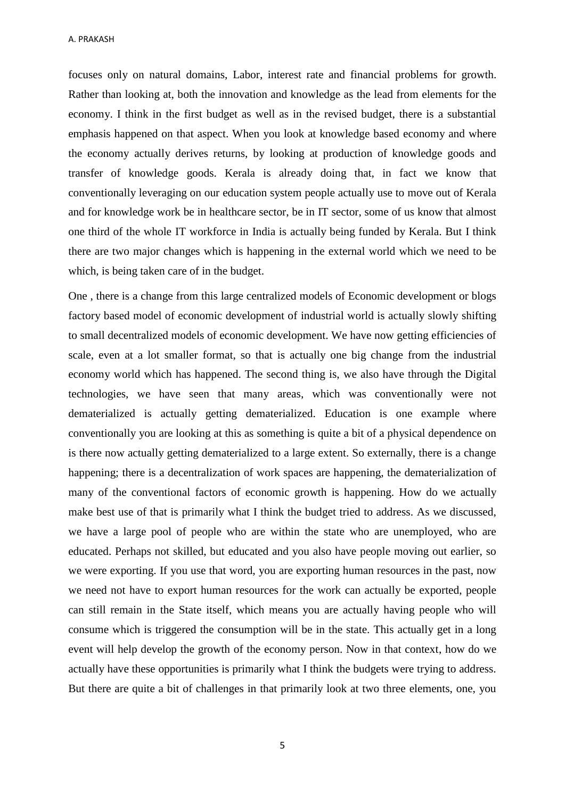A. PRAKASH

focuses only on natural domains, Labor, interest rate and financial problems for growth. Rather than looking at, both the innovation and knowledge as the lead from elements for the economy. I think in the first budget as well as in the revised budget, there is a substantial emphasis happened on that aspect. When you look at knowledge based economy and where the economy actually derives returns, by looking at production of knowledge goods and transfer of knowledge goods. Kerala is already doing that, in fact we know that conventionally leveraging on our education system people actually use to move out of Kerala and for knowledge work be in healthcare sector, be in IT sector, some of us know that almost one third of the whole IT workforce in India is actually being funded by Kerala. But I think there are two major changes which is happening in the external world which we need to be which, is being taken care of in the budget.

One , there is a change from this large centralized models of Economic development or blogs factory based model of economic development of industrial world is actually slowly shifting to small decentralized models of economic development. We have now getting efficiencies of scale, even at a lot smaller format, so that is actually one big change from the industrial economy world which has happened. The second thing is, we also have through the Digital technologies, we have seen that many areas, which was conventionally were not dematerialized is actually getting dematerialized. Education is one example where conventionally you are looking at this as something is quite a bit of a physical dependence on is there now actually getting dematerialized to a large extent. So externally, there is a change happening; there is a decentralization of work spaces are happening, the dematerialization of many of the conventional factors of economic growth is happening. How do we actually make best use of that is primarily what I think the budget tried to address. As we discussed, we have a large pool of people who are within the state who are unemployed, who are educated. Perhaps not skilled, but educated and you also have people moving out earlier, so we were exporting. If you use that word, you are exporting human resources in the past, now we need not have to export human resources for the work can actually be exported, people can still remain in the State itself, which means you are actually having people who will consume which is triggered the consumption will be in the state. This actually get in a long event will help develop the growth of the economy person. Now in that context, how do we actually have these opportunities is primarily what I think the budgets were trying to address. But there are quite a bit of challenges in that primarily look at two three elements, one, you